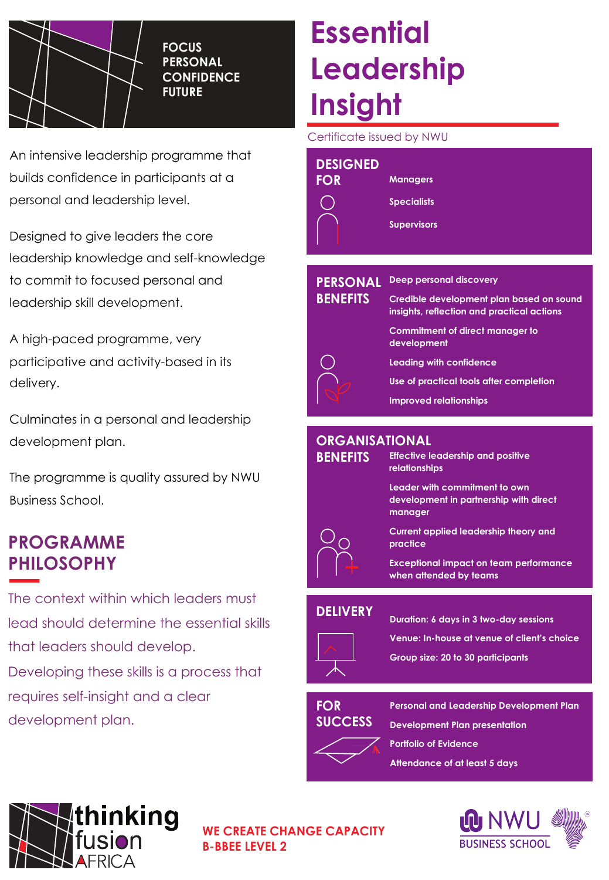

**FOCUS PERSONAL CONFIDENCE FUTURE**

An intensive leadership programme that builds confidence in participants at a personal and leadership level.

Designed to give leaders the core leadership knowledge and self-knowledge to commit to focused personal and leadership skill development.

A high-paced programme, very participative and activity-based in its delivery.

Culminates in a personal and leadership development plan.

The programme is quality assured by NWU Business School.

### **PROGRAMME PHILOSOPHY**

The context within which leaders must lead should determine the essential skills that leaders should develop. Developing these skills is a process that requires self-insight and a clear development plan.

# **Essential Leadership Insight**

Certificate issued by NWU

| <b>DESIGNED</b><br><b>FOR</b>      | <b>Managers</b><br><b>Specialists</b><br><b>Supervisors</b>                                                                                           |
|------------------------------------|-------------------------------------------------------------------------------------------------------------------------------------------------------|
| <b>PERSONAL</b><br><b>BENEFITS</b> | Deep personal discovery<br>Credible development plan based on sound<br>insights, reflection and practical actions                                     |
|                                    | Commitment of direct manager to<br>development<br>Leading with confidence<br>Use of practical tools after completion<br><b>Improved relationships</b> |

#### **ORGANISATIONAL**

| <b>BENEFITS</b> | <b>Effective leadership and positive</b><br>relationships                          |
|-----------------|------------------------------------------------------------------------------------|
|                 | Leader with commitment to own<br>development in partnership with direct<br>manager |
|                 | Current applied leadership theory and<br>practice                                  |
|                 | <b>Exceptional impact on team performance</b><br>when attended by teams            |
|                 |                                                                                    |

#### **DELIVERY**



**Duration: 6 days in 3 two-day sessions Venue: In-house at venue of client's choice**

**Group size: 20 to 30 participants**

#### **FOR SUCCESS**

**Personal and Leadership Development Plan**

**Development Plan presentation Portfolio of Evidence Attendance of at least 5 days**



**WE CREATE CHANGE CAPACITY B-BBEE LEVEL 2**